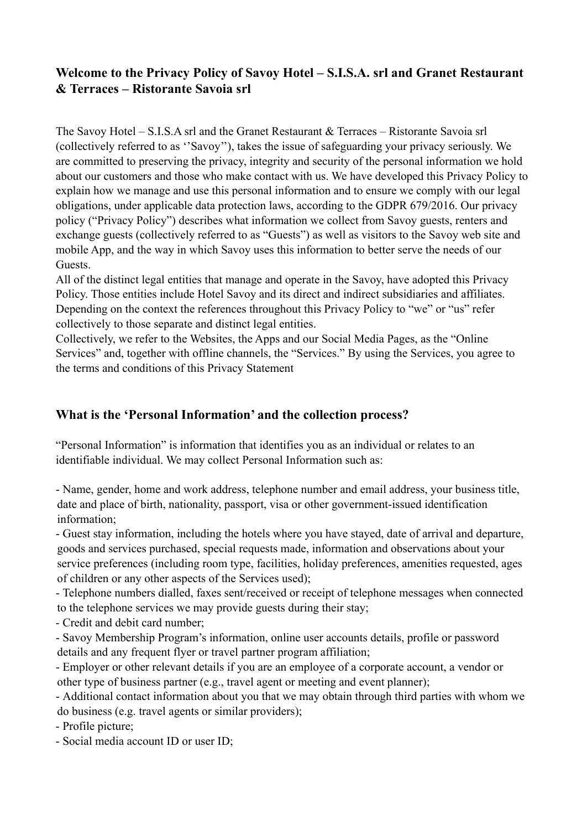# **Welcome to the Privacy Policy of Savoy Hotel – S.I.S.A. srl and Granet Restaurant & Terraces – Ristorante Savoia srl**

The Savoy Hotel – S.I.S.A srl and the Granet Restaurant & Terraces – Ristorante Savoia srl (collectively referred to as ''Savoy''), takes the issue of safeguarding your privacy seriously. We are committed to preserving the privacy, integrity and security of the personal information we hold about our customers and those who make contact with us. We have developed this Privacy Policy to explain how we manage and use this personal information and to ensure we comply with our legal obligations, under applicable data protection laws, according to the GDPR 679/2016. Our privacy policy ("Privacy Policy") describes what information we collect from Savoy guests, renters and exchange guests (collectively referred to as "Guests") as well as visitors to the Savoy web site and mobile App, and the way in which Savoy uses this information to better serve the needs of our Guests.

All of the distinct legal entities that manage and operate in the Savoy, have adopted this Privacy Policy. Those entities include Hotel Savoy and its direct and indirect subsidiaries and affiliates. Depending on the context the references throughout this Privacy Policy to "we" or "us" refer collectively to those separate and distinct legal entities.

Collectively, we refer to the Websites, the Apps and our Social Media Pages, as the "Online Services" and, together with offline channels, the "Services." By using the Services, you agree to the terms and conditions of this Privacy Statement

# **What is the 'Personal Information' and the collection process?**

"Personal Information" is information that identifies you as an individual or relates to an identifiable individual. We may collect Personal Information such as:

- Name, gender, home and work address, telephone number and email address, your business title, date and place of birth, nationality, passport, visa or other government-issued identification information;

- Guest stay information, including the hotels where you have stayed, date of arrival and departure, goods and services purchased, special requests made, information and observations about your service preferences (including room type, facilities, holiday preferences, amenities requested, ages of children or any other aspects of the Services used);

- Telephone numbers dialled, faxes sent/received or receipt of telephone messages when connected to the telephone services we may provide guests during their stay;

- Credit and debit card number;

- Savoy Membership Program's information, online user accounts details, profile or password details and any frequent flyer or travel partner program affiliation;

- Employer or other relevant details if you are an employee of a corporate account, a vendor or other type of business partner (e.g., travel agent or meeting and event planner);

- Additional contact information about you that we may obtain through third parties with whom we do business (e.g. travel agents or similar providers);

- Profile picture;

- Social media account ID or user ID;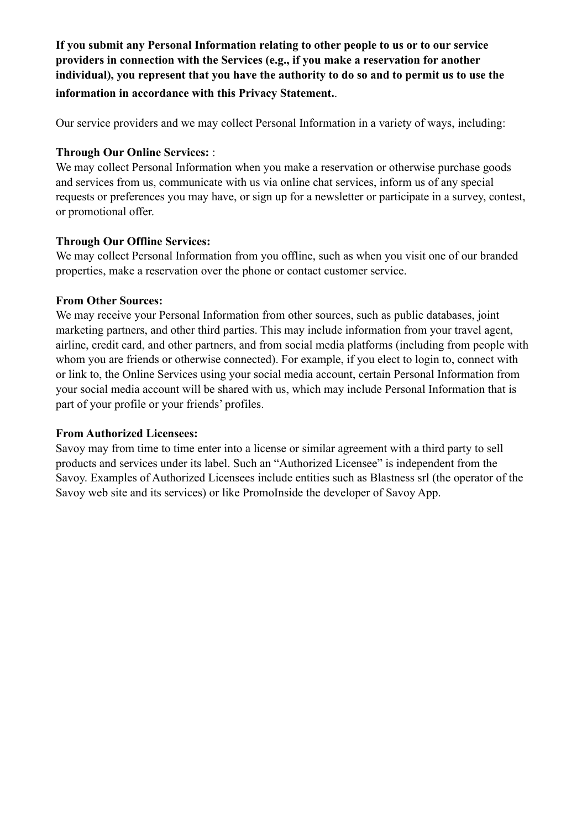**If you submit any Personal Information relating to other people to us or to our service providers in connection with the Services (e.g., if you make a reservation for another individual), you represent that you have the authority to do so and to permit us to use the information in accordance with this Privacy Statement.**.

Our service providers and we may collect Personal Information in a variety of ways, including:

## **Through Our Online Services:** :

We may collect Personal Information when you make a reservation or otherwise purchase goods and services from us, communicate with us via online chat services, inform us of any special requests or preferences you may have, or sign up for a newsletter or participate in a survey, contest, or promotional offer.

### **Through Our Offline Services:**

We may collect Personal Information from you offline, such as when you visit one of our branded properties, make a reservation over the phone or contact customer service.

## **From Other Sources:**

We may receive your Personal Information from other sources, such as public databases, joint marketing partners, and other third parties. This may include information from your travel agent, airline, credit card, and other partners, and from social media platforms (including from people with whom you are friends or otherwise connected). For example, if you elect to login to, connect with or link to, the Online Services using your social media account, certain Personal Information from your social media account will be shared with us, which may include Personal Information that is part of your profile or your friends' profiles.

### **From Authorized Licensees:**

Savoy may from time to time enter into a license or similar agreement with a third party to sell products and services under its label. Such an "Authorized Licensee" is independent from the Savoy. Examples of Authorized Licensees include entities such as Blastness srl (the operator of the Savoy web site and its services) or like PromoInside the developer of Savoy App.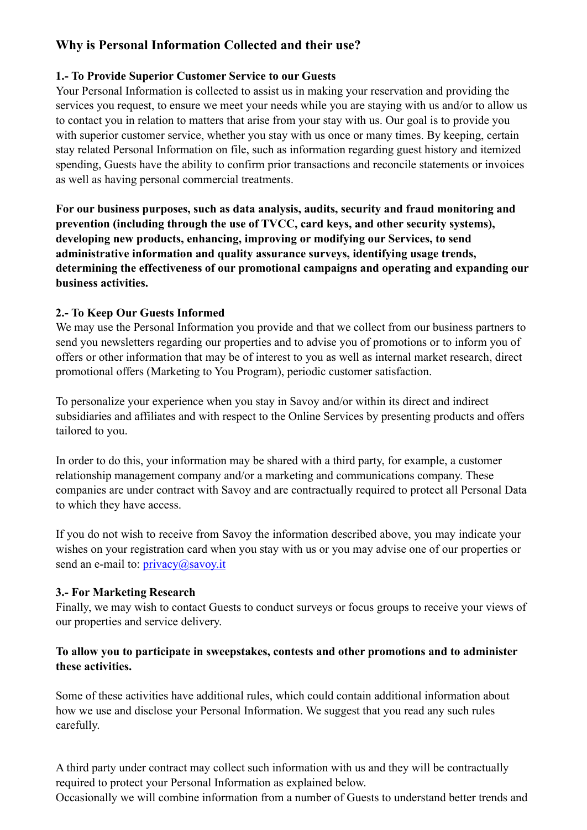# **Why is Personal Information Collected and their use?**

## **1.- To Provide Superior Customer Service to our Guests**

Your Personal Information is collected to assist us in making your reservation and providing the services you request, to ensure we meet your needs while you are staying with us and/or to allow us to contact you in relation to matters that arise from your stay with us. Our goal is to provide you with superior customer service, whether you stay with us once or many times. By keeping, certain stay related Personal Information on file, such as information regarding guest history and itemized spending, Guests have the ability to confirm prior transactions and reconcile statements or invoices as well as having personal commercial treatments.

**For our business purposes, such as data analysis, audits, security and fraud monitoring and prevention (including through the use of TVCC, card keys, and other security systems), developing new products, enhancing, improving or modifying our Services, to send administrative information and quality assurance surveys, identifying usage trends, determining the effectiveness of our promotional campaigns and operating and expanding our business activities.** 

## **2.- To Keep Our Guests Informed**

We may use the Personal Information you provide and that we collect from our business partners to send you newsletters regarding our properties and to advise you of promotions or to inform you of offers or other information that may be of interest to you as well as internal market research, direct promotional offers (Marketing to You Program), periodic customer satisfaction.

To personalize your experience when you stay in Savoy and/or within its direct and indirect subsidiaries and affiliates and with respect to the Online Services by presenting products and offers tailored to you.

In order to do this, your information may be shared with a third party, for example, a customer relationship management company and/or a marketing and communications company. These companies are under contract with Savoy and are contractually required to protect all Personal Data to which they have access.

If you do not wish to receive from Savoy the information described above, you may indicate your wishes on your registration card when you stay with us or you may advise one of our properties or send an e-mail to: [privacy@savoy.it](mailto:privacy@savoy.it)

## **3.- For Marketing Research**

Finally, we may wish to contact Guests to conduct surveys or focus groups to receive your views of our properties and service delivery.

## **To allow you to participate in sweepstakes, contests and other promotions and to administer these activities.**

Some of these activities have additional rules, which could contain additional information about how we use and disclose your Personal Information. We suggest that you read any such rules carefully.

A third party under contract may collect such information with us and they will be contractually required to protect your Personal Information as explained below.

Occasionally we will combine information from a number of Guests to understand better trends and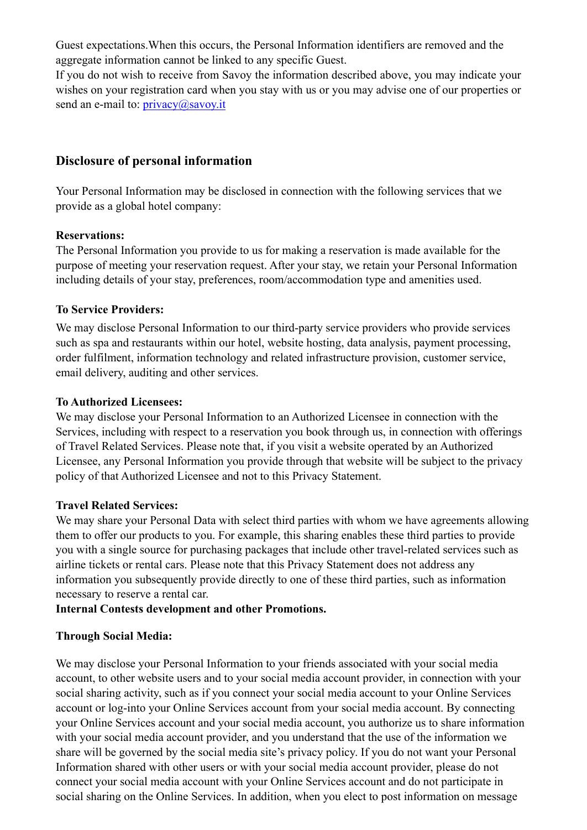Guest expectations.When this occurs, the Personal Information identifiers are removed and the aggregate information cannot be linked to any specific Guest.

If you do not wish to receive from Savoy the information described above, you may indicate your wishes on your registration card when you stay with us or you may advise one of our properties or send an e-mail to: *privacy@savoy.it* 

## **Disclosure of personal information**

Your Personal Information may be disclosed in connection with the following services that we provide as a global hotel company:

### **Reservations:**

The Personal Information you provide to us for making a reservation is made available for the purpose of meeting your reservation request. After your stay, we retain your Personal Information including details of your stay, preferences, room/accommodation type and amenities used.

### **To Service Providers:**

We may disclose Personal Information to our third-party service providers who provide services such as spa and restaurants within our hotel, website hosting, data analysis, payment processing, order fulfilment, information technology and related infrastructure provision, customer service, email delivery, auditing and other services.

### **To Authorized Licensees:**

We may disclose your Personal Information to an Authorized Licensee in connection with the Services, including with respect to a reservation you book through us, in connection with offerings of Travel Related Services. Please note that, if you visit a website operated by an Authorized Licensee, any Personal Information you provide through that website will be subject to the privacy policy of that Authorized Licensee and not to this Privacy Statement.

### **Travel Related Services:**

We may share your Personal Data with select third parties with whom we have agreements allowing them to offer our products to you. For example, this sharing enables these third parties to provide you with a single source for purchasing packages that include other travel-related services such as airline tickets or rental cars. Please note that this Privacy Statement does not address any information you subsequently provide directly to one of these third parties, such as information necessary to reserve a rental car.

## **Internal Contests development and other Promotions.**

### **Through Social Media:**

We may disclose your Personal Information to your friends associated with your social media account, to other website users and to your social media account provider, in connection with your social sharing activity, such as if you connect your social media account to your Online Services account or log-into your Online Services account from your social media account. By connecting your Online Services account and your social media account, you authorize us to share information with your social media account provider, and you understand that the use of the information we share will be governed by the social media site's privacy policy. If you do not want your Personal Information shared with other users or with your social media account provider, please do not connect your social media account with your Online Services account and do not participate in social sharing on the Online Services. In addition, when you elect to post information on message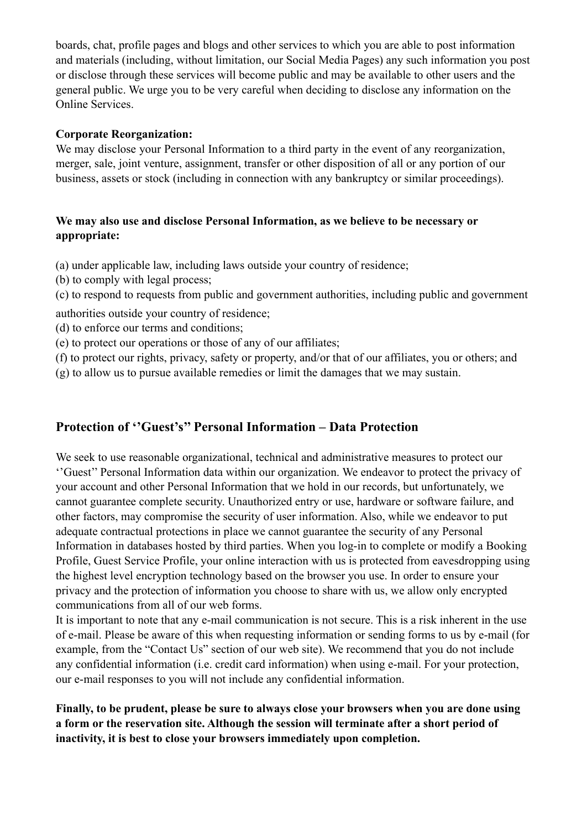boards, chat, profile pages and blogs and other services to which you are able to post information and materials (including, without limitation, our Social Media Pages) any such information you post or disclose through these services will become public and may be available to other users and the general public. We urge you to be very careful when deciding to disclose any information on the Online Services.

### **Corporate Reorganization:**

We may disclose your Personal Information to a third party in the event of any reorganization, merger, sale, joint venture, assignment, transfer or other disposition of all or any portion of our business, assets or stock (including in connection with any bankruptcy or similar proceedings).

## **We may also use and disclose Personal Information, as we believe to be necessary or appropriate:**

(a) under applicable law, including laws outside your country of residence;

- (b) to comply with legal process;
- (c) to respond to requests from public and government authorities, including public and government
- authorities outside your country of residence;
- (d) to enforce our terms and conditions;
- (e) to protect our operations or those of any of our affiliates;
- (f) to protect our rights, privacy, safety or property, and/or that of our affiliates, you or others; and (g) to allow us to pursue available remedies or limit the damages that we may sustain.

# **Protection of ''Guest's'' Personal Information – Data Protection**

We seek to use reasonable organizational, technical and administrative measures to protect our ''Guest'' Personal Information data within our organization. We endeavor to protect the privacy of your account and other Personal Information that we hold in our records, but unfortunately, we cannot guarantee complete security. Unauthorized entry or use, hardware or software failure, and other factors, may compromise the security of user information. Also, while we endeavor to put adequate contractual protections in place we cannot guarantee the security of any Personal Information in databases hosted by third parties. When you log-in to complete or modify a Booking Profile, Guest Service Profile, your online interaction with us is protected from eavesdropping using the highest level encryption technology based on the browser you use. In order to ensure your privacy and the protection of information you choose to share with us, we allow only encrypted communications from all of our web forms.

It is important to note that any e-mail communication is not secure. This is a risk inherent in the use of e-mail. Please be aware of this when requesting information or sending forms to us by e-mail (for example, from the "Contact Us" section of our web site). We recommend that you do not include any confidential information (i.e. credit card information) when using e-mail. For your protection, our e-mail responses to you will not include any confidential information.

**Finally, to be prudent, please be sure to always close your browsers when you are done using a form or the reservation site. Although the session will terminate after a short period of inactivity, it is best to close your browsers immediately upon completion.**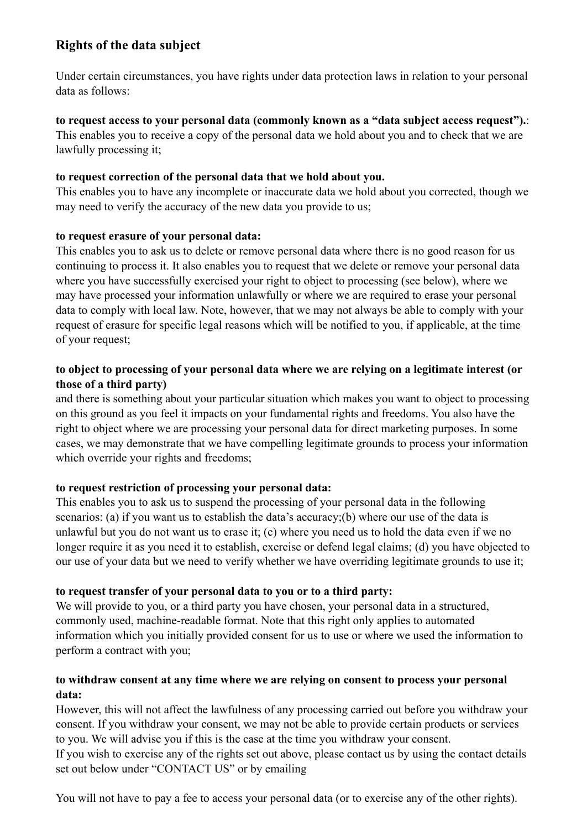# **Rights of the data subject**

Under certain circumstances, you have rights under data protection laws in relation to your personal data as follows:

### **to request access to your personal data (commonly known as a "data subject access request").**:

This enables you to receive a copy of the personal data we hold about you and to check that we are lawfully processing it;

## **to request correction of the personal data that we hold about you.**

This enables you to have any incomplete or inaccurate data we hold about you corrected, though we may need to verify the accuracy of the new data you provide to us;

## **to request erasure of your personal data:**

This enables you to ask us to delete or remove personal data where there is no good reason for us continuing to process it. It also enables you to request that we delete or remove your personal data where you have successfully exercised your right to object to processing (see below), where we may have processed your information unlawfully or where we are required to erase your personal data to comply with local law. Note, however, that we may not always be able to comply with your request of erasure for specific legal reasons which will be notified to you, if applicable, at the time of your request;

## **to object to processing of your personal data where we are relying on a legitimate interest (or those of a third party)**

and there is something about your particular situation which makes you want to object to processing on this ground as you feel it impacts on your fundamental rights and freedoms. You also have the right to object where we are processing your personal data for direct marketing purposes. In some cases, we may demonstrate that we have compelling legitimate grounds to process your information which override your rights and freedoms;

# **to request restriction of processing your personal data:**

This enables you to ask us to suspend the processing of your personal data in the following scenarios: (a) if you want us to establish the data's accuracy; (b) where our use of the data is unlawful but you do not want us to erase it; (c) where you need us to hold the data even if we no longer require it as you need it to establish, exercise or defend legal claims; (d) you have objected to our use of your data but we need to verify whether we have overriding legitimate grounds to use it;

# **to request transfer of your personal data to you or to a third party:**

We will provide to you, or a third party you have chosen, your personal data in a structured, commonly used, machine-readable format. Note that this right only applies to automated information which you initially provided consent for us to use or where we used the information to perform a contract with you;

## **to withdraw consent at any time where we are relying on consent to process your personal data:**

However, this will not affect the lawfulness of any processing carried out before you withdraw your consent. If you withdraw your consent, we may not be able to provide certain products or services to you. We will advise you if this is the case at the time you withdraw your consent.

If you wish to exercise any of the rights set out above, please contact us by using the contact details set out below under "CONTACT US" or by emailing

You will not have to pay a fee to access your personal data (or to exercise any of the other rights).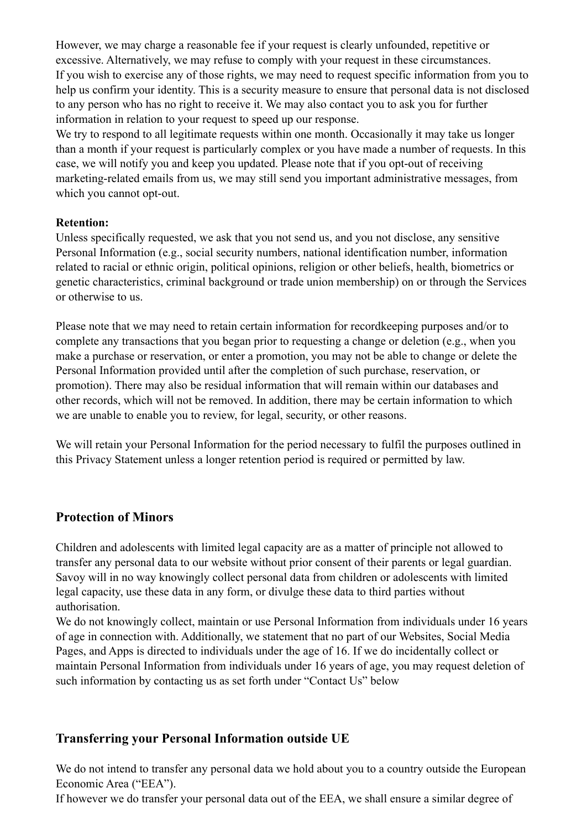However, we may charge a reasonable fee if your request is clearly unfounded, repetitive or excessive. Alternatively, we may refuse to comply with your request in these circumstances. If you wish to exercise any of those rights, we may need to request specific information from you to help us confirm your identity. This is a security measure to ensure that personal data is not disclosed to any person who has no right to receive it. We may also contact you to ask you for further information in relation to your request to speed up our response.

We try to respond to all legitimate requests within one month. Occasionally it may take us longer than a month if your request is particularly complex or you have made a number of requests. In this case, we will notify you and keep you updated. Please note that if you opt-out of receiving marketing-related emails from us, we may still send you important administrative messages, from which you cannot opt-out.

## **Retention:**

Unless specifically requested, we ask that you not send us, and you not disclose, any sensitive Personal Information (e.g., social security numbers, national identification number, information related to racial or ethnic origin, political opinions, religion or other beliefs, health, biometrics or genetic characteristics, criminal background or trade union membership) on or through the Services or otherwise to us.

Please note that we may need to retain certain information for recordkeeping purposes and/or to complete any transactions that you began prior to requesting a change or deletion (e.g., when you make a purchase or reservation, or enter a promotion, you may not be able to change or delete the Personal Information provided until after the completion of such purchase, reservation, or promotion). There may also be residual information that will remain within our databases and other records, which will not be removed. In addition, there may be certain information to which we are unable to enable you to review, for legal, security, or other reasons.

We will retain your Personal Information for the period necessary to fulfil the purposes outlined in this Privacy Statement unless a longer retention period is required or permitted by law.

# **Protection of Minors**

Children and adolescents with limited legal capacity are as a matter of principle not allowed to transfer any personal data to our website without prior consent of their parents or legal guardian. Savoy will in no way knowingly collect personal data from children or adolescents with limited legal capacity, use these data in any form, or divulge these data to third parties without authorisation.

We do not knowingly collect, maintain or use Personal Information from individuals under 16 years of age in connection with. Additionally, we statement that no part of our Websites, Social Media Pages, and Apps is directed to individuals under the age of 16. If we do incidentally collect or maintain Personal Information from individuals under 16 years of age, you may request deletion of such information by contacting us as set forth under "Contact Us" below

# **Transferring your Personal Information outside UE**

We do not intend to transfer any personal data we hold about you to a country outside the European Economic Area ("EEA").

If however we do transfer your personal data out of the EEA, we shall ensure a similar degree of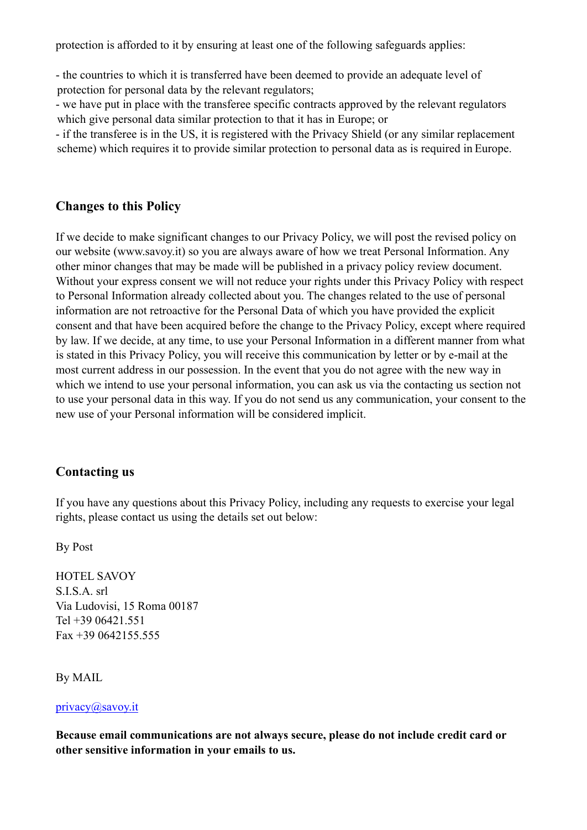protection is afforded to it by ensuring at least one of the following safeguards applies:

- the countries to which it is transferred have been deemed to provide an adequate level of protection for personal data by the relevant regulators;

- we have put in place with the transferee specific contracts approved by the relevant regulators which give personal data similar protection to that it has in Europe; or

- if the transferee is in the US, it is registered with the Privacy Shield (or any similar replacement scheme) which requires it to provide similar protection to personal data as is required in Europe.

## **Changes to this Policy**

If we decide to make significant changes to our Privacy Policy, we will post the revised policy on our website (www.savoy.it) so you are always aware of how we treat Personal Information. Any other minor changes that may be made will be published in a privacy policy review document. Without your express consent we will not reduce your rights under this Privacy Policy with respect to Personal Information already collected about you. The changes related to the use of personal information are not retroactive for the Personal Data of which you have provided the explicit consent and that have been acquired before the change to the Privacy Policy, except where required by law. If we decide, at any time, to use your Personal Information in a different manner from what is stated in this Privacy Policy, you will receive this communication by letter or by e-mail at the most current address in our possession. In the event that you do not agree with the new way in which we intend to use your personal information, you can ask us via the contacting us section not to use your personal data in this way. If you do not send us any communication, your consent to the new use of your Personal information will be considered implicit.

## **Contacting us**

If you have any questions about this Privacy Policy, including any requests to exercise your legal rights, please contact us using the details set out below:

By Post

HOTEL SAVOY S.I.S.A. srl Via Ludovisi, 15 Roma 00187 Tel +39 06421.551 Fax +39 0642155.555

By MAIL

#### [privacy@savoy.it](mailto:privacy@savoy.it)

**Because email communications are not always secure, please do not include credit card or other sensitive information in your emails to us.**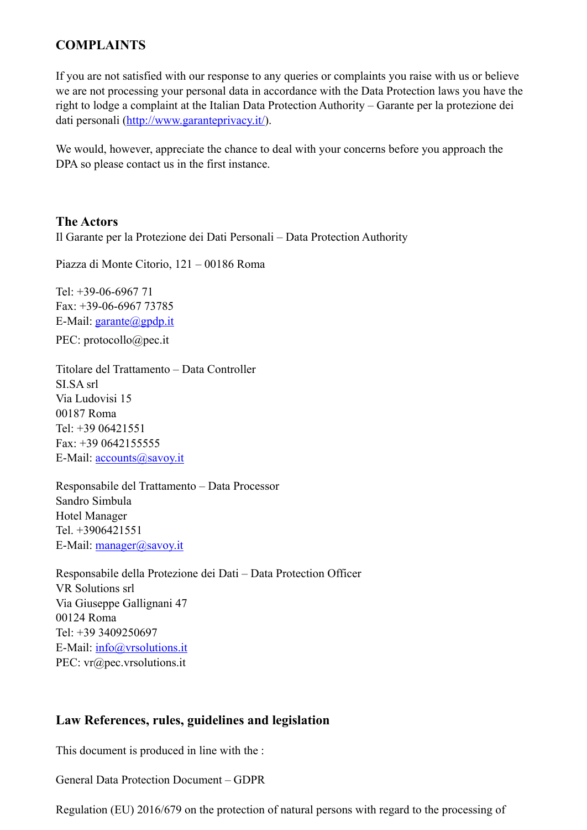# **COMPLAINTS**

If you are not satisfied with our response to any queries or complaints you raise with us or believe we are not processing your personal data in accordance with the Data Protection laws you have the right to lodge a complaint at the Italian Data Protection Authority – Garante per la protezione dei dati personali ([http://www.garanteprivacy.it/\)](http://www.garanteprivacy.it/).

We would, however, appreciate the chance to deal with your concerns before you approach the DPA so please contact us in the first instance.

## **The Actors**

Il Garante per la Protezione dei Dati Personali – Data Protection Authority

Piazza di Monte Citorio, 121 – 00186 Roma

Tel: +39-06-6967 71 Fax: +39-06-6967 73785 E-Mail: [garante@gpdp.it](mailto:garante@gpdp.it)

[PEC: protocollo@pec.it](mailto:protocollo@pec.it) 

Titolare del Trattamento – Data Controller SI.SA srl Via Ludovisi 15 00187 Roma Tel: +39 06421551 Fax: +39 0642155555 E-Mail: [accounts@savoy.it](mailto:accounts@savoy.it)

Responsabile del Trattamento – Data Processor Sandro Simbula Hotel Manager Tel. +3906421551 E-Mail: [manager@savoy.it](mailto:manager@savoy.it)

Responsabile della Protezione dei Dati – Data Protection Officer VR Solutions srl Via Giuseppe Gallignani 47 00124 Roma Tel: +39 3409250697 E-Mail: [info@vrsolutions.it](mailto:info@vrsolutions.it) PEC: vr@pec.vrsolutions.it

## **Law References, rules, guidelines and legislation**

This document is produced in line with the :

General Data Protection Document – GDPR

Regulation (EU) 2016/679 on the protection of natural persons with regard to the processing of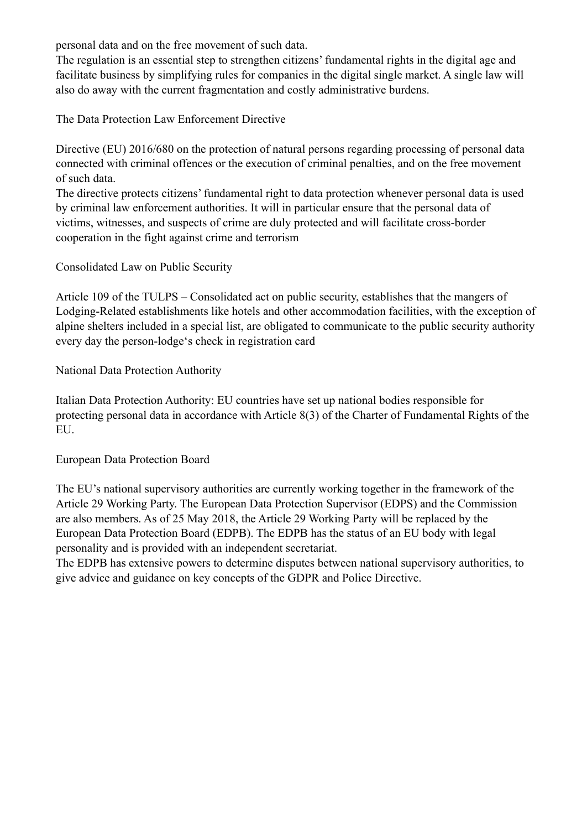personal data and on the free movement of such data.

The regulation is an essential step to strengthen citizens' fundamental rights in the digital age and facilitate business by simplifying rules for companies in the digital single market. A single law will also do away with the current fragmentation and costly administrative burdens.

The Data Protection Law Enforcement Directive

Directive (EU) 2016/680 on the protection of natural persons regarding processing of personal data connected with criminal offences or the execution of criminal penalties, and on the free movement of such data.

The directive protects citizens' fundamental right to data protection whenever personal data is used by criminal law enforcement authorities. It will in particular ensure that the personal data of victims, witnesses, and suspects of crime are duly protected and will facilitate cross-border cooperation in the fight against crime and terrorism

Consolidated Law on Public Security

Article 109 of the TULPS – Consolidated act on public security, establishes that the mangers of Lodging-Related establishments like hotels and other accommodation facilities, with the exception of alpine shelters included in a special list, are obligated to communicate to the public security authority every day the person-lodge's check in registration card

National Data Protection Authority

Italian Data Protection Authority: EU countries have set up national bodies responsible for protecting personal data in accordance with Article 8(3) of the Charter of Fundamental Rights of the EU.

#### European Data Protection Board

The EU's national supervisory authorities are currently working together in the framework of the Article 29 Working Party. The European Data Protection Supervisor (EDPS) and the Commission are also members. As of 25 May 2018, the Article 29 Working Party will be replaced by the European Data Protection Board (EDPB). The EDPB has the status of an EU body with legal personality and is provided with an independent secretariat.

The EDPB has extensive powers to determine disputes between national supervisory authorities, to give advice and guidance on key concepts of the GDPR and Police Directive.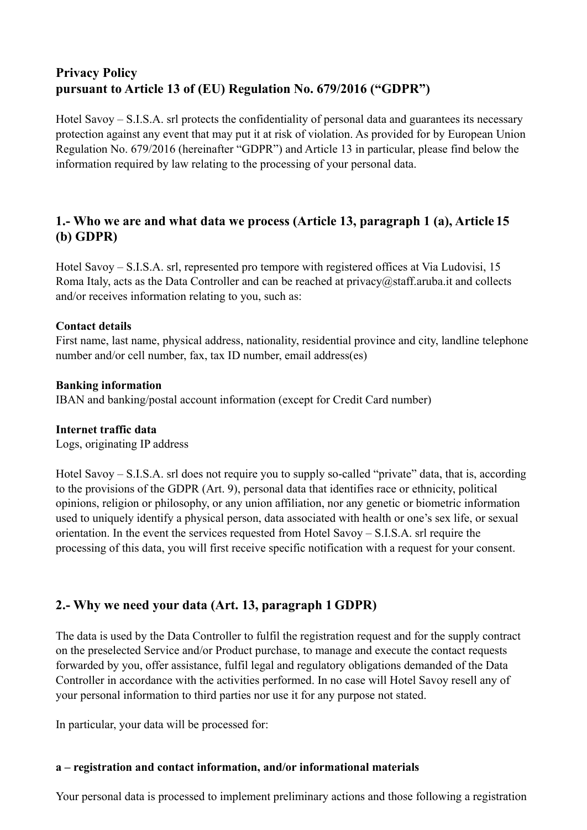# **Privacy Policy pursuant to Article 13 of (EU) Regulation No. 679/2016 ("GDPR")**

Hotel Savoy – S.I.S.A. srl protects the confidentiality of personal data and guarantees its necessary protection against any event that may put it at risk of violation. As provided for by European Union Regulation No. 679/2016 (hereinafter "GDPR") and Article 13 in particular, please find below the information required by law relating to the processing of your personal data.

# **1.- Who we are and what data we process (Article 13, paragraph 1 (a), Article 15 (b) GDPR)**

Hotel Savoy – S.I.S.A. srl, represented pro tempore with registered offices at Via Ludovisi, 15 Roma Italy, acts as the Data Controller and can be reached a[t privacy@staff.aruba.it](mailto:privacy@staff.aruba.it) and collects and/or receives information relating to you, such as:

### **Contact details**

First name, last name, physical address, nationality, residential province and city, landline telephone number and/or cell number, fax, tax ID number, email address(es)

## **Banking information**

IBAN and banking/postal account information (except for Credit Card number)

### **Internet traffic data**

Logs, originating IP address

Hotel Savoy – S.I.S.A. srl does not require you to supply so-called "private" data, that is, according to the provisions of the GDPR (Art. 9), personal data that identifies race or ethnicity, political opinions, religion or philosophy, or any union affiliation, nor any genetic or biometric information used to uniquely identify a physical person, data associated with health or one's sex life, or sexual orientation. In the event the services requested from Hotel Savoy – S.I.S.A. srl require the processing of this data, you will first receive specific notification with a request for your consent.

# **2.- Why we need your data (Art. 13, paragraph 1 GDPR)**

The data is used by the Data Controller to fulfil the registration request and for the supply contract on the preselected Service and/or Product purchase, to manage and execute the contact requests forwarded by you, offer assistance, fulfil legal and regulatory obligations demanded of the Data Controller in accordance with the activities performed. In no case will Hotel Savoy resell any of your personal information to third parties nor use it for any purpose not stated.

In particular, your data will be processed for:

### **a – registration and contact information, and/or informational materials**

Your personal data is processed to implement preliminary actions and those following a registration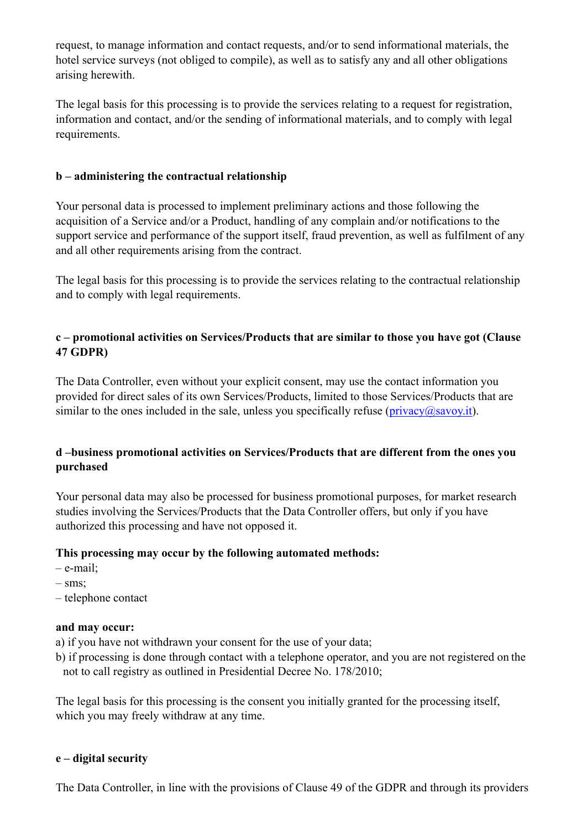request, to manage information and contact requests, and/or to send informational materials, the hotel service surveys (not obliged to compile), as well as to satisfy any and all other obligations arising herewith.

The legal basis for this processing is to provide the services relating to a request for registration, information and contact, and/or the sending of informational materials, and to comply with legal requirements.

## **b – administering the contractual relationship**

Your personal data is processed to implement preliminary actions and those following the acquisition of a Service and/or a Product, handling of any complain and/or notifications to the support service and performance of the support itself, fraud prevention, as well as fulfilment of any and all other requirements arising from the contract.

The legal basis for this processing is to provide the services relating to the contractual relationship and to comply with legal requirements.

## **c – promotional activities on Services/Products that are similar to those you have got (Clause 47 GDPR)**

The Data Controller, even without your explicit consent, may use the contact information you provided for direct sales of its own Services/Products, limited to those Services/Products that are similar to the ones included in the sale, unless you specifically refuse ( $\frac{\text{privacy}(a\text{)}\text{savoy}}{\text{invacy}(b\text{)}}$ ).

## **d –business promotional activities on Services/Products that are different from the ones you purchased**

Your personal data may also be processed for business promotional purposes, for market research studies involving the Services/Products that the Data Controller offers, but only if you have authorized this processing and have not opposed it.

### **This processing may occur by the following automated methods:**

- e-mail;
- sms;
- telephone contact

### **and may occur:**

a) if you have not withdrawn your consent for the use of your data;

b) if processing is done through contact with a telephone operator, and you are not registered on the not to call registry as outlined in Presidential Decree No. 178/2010;

The legal basis for this processing is the consent you initially granted for the processing itself, which you may freely withdraw at any time.

### **e – digital security**

The Data Controller, in line with the provisions of Clause 49 of the GDPR and through its providers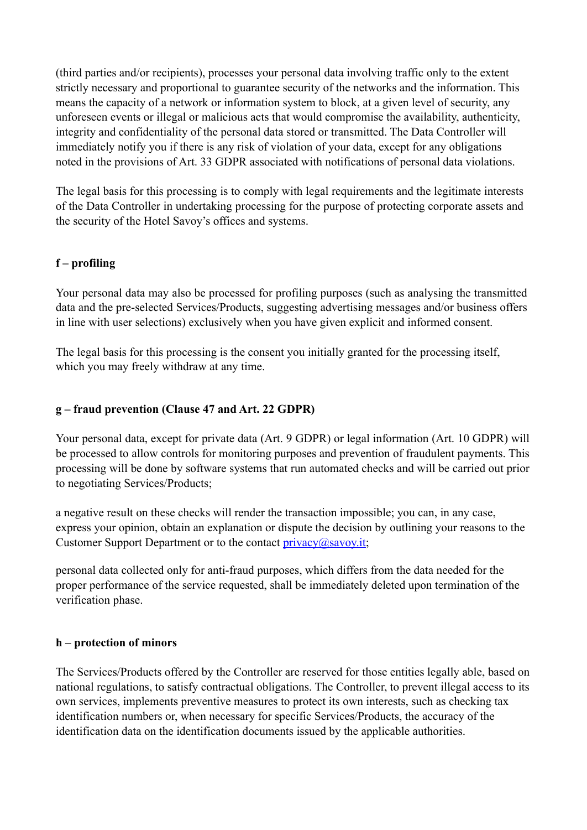(third parties and/or recipients), processes your personal data involving traffic only to the extent strictly necessary and proportional to guarantee security of the networks and the information. This means the capacity of a network or information system to block, at a given level of security, any unforeseen events or illegal or malicious acts that would compromise the availability, authenticity, integrity and confidentiality of the personal data stored or transmitted. The Data Controller will immediately notify you if there is any risk of violation of your data, except for any obligations noted in the provisions of Art. 33 GDPR associated with notifications of personal data violations.

The legal basis for this processing is to comply with legal requirements and the legitimate interests of the Data Controller in undertaking processing for the purpose of protecting corporate assets and the security of the Hotel Savoy's offices and systems.

## **f – profiling**

Your personal data may also be processed for profiling purposes (such as analysing the transmitted data and the pre-selected Services/Products, suggesting advertising messages and/or business offers in line with user selections) exclusively when you have given explicit and informed consent.

The legal basis for this processing is the consent you initially granted for the processing itself, which you may freely withdraw at any time.

## **g – fraud prevention (Clause 47 and Art. 22 GDPR)**

Your personal data, except for private data (Art. 9 GDPR) or legal information (Art. 10 GDPR) will be processed to allow controls for monitoring purposes and prevention of fraudulent payments. This processing will be done by software systems that run automated checks and will be carried out prior to negotiating Services/Products;

a negative result on these checks will render the transaction impossible; you can, in any case, express your opinion, obtain an explanation or dispute the decision by outlining your reasons to the Customer Support Department or to the contact  $\frac{\text{prior}(a)}{\text{approx}(a)}$ 

personal data collected only for anti-fraud purposes, which differs from the data needed for the proper performance of the service requested, shall be immediately deleted upon termination of the verification phase.

### **h – protection of minors**

The Services/Products offered by the Controller are reserved for those entities legally able, based on national regulations, to satisfy contractual obligations. The Controller, to prevent illegal access to its own services, implements preventive measures to protect its own interests, such as checking tax identification numbers or, when necessary for specific Services/Products, the accuracy of the identification data on the identification documents issued by the applicable authorities.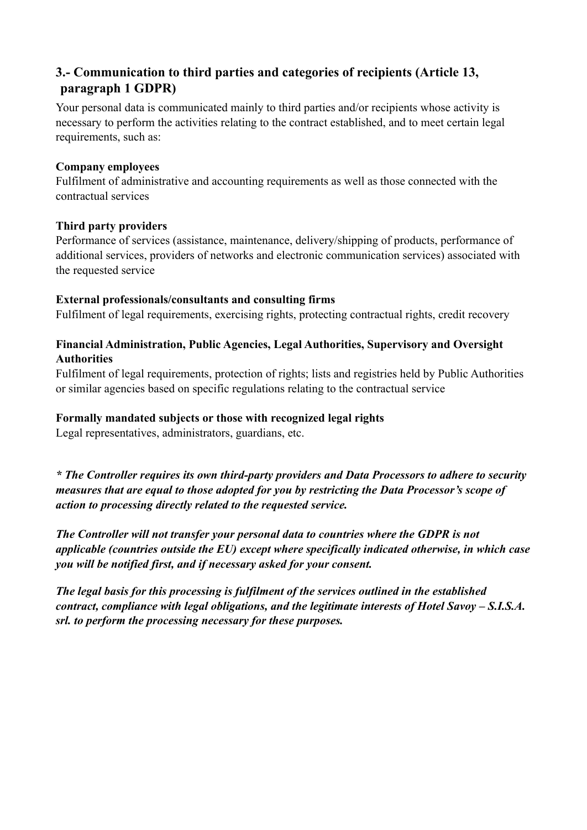# **3.- Communication to third parties and categories of recipients (Article 13, paragraph 1 GDPR)**

Your personal data is communicated mainly to third parties and/or recipients whose activity is necessary to perform the activities relating to the contract established, and to meet certain legal requirements, such as:

### **Company employees**

Fulfilment of administrative and accounting requirements as well as those connected with the contractual services

## **Third party providers**

Performance of services (assistance, maintenance, delivery/shipping of products, performance of additional services, providers of networks and electronic communication services) associated with the requested service

## **External professionals/consultants and consulting firms**

Fulfilment of legal requirements, exercising rights, protecting contractual rights, credit recovery

## **Financial Administration, Public Agencies, Legal Authorities, Supervisory and Oversight Authorities**

Fulfilment of legal requirements, protection of rights; lists and registries held by Public Authorities or similar agencies based on specific regulations relating to the contractual service

### **Formally mandated subjects or those with recognized legal rights**

Legal representatives, administrators, guardians, etc.

*\* The Controller requires its own third-party providers and Data Processors to adhere to security measures that are equal to those adopted for you by restricting the Data Processor's scope of action to processing directly related to the requested service.* 

*The Controller will not transfer your personal data to countries where the GDPR is not applicable (countries outside the EU) except where specifically indicated otherwise, in which case you will be notified first, and if necessary asked for your consent.* 

*The legal basis for this processing is fulfilment of the services outlined in the established contract, compliance with legal obligations, and the legitimate interests of Hotel Savoy – S.I.S.A. srl. to perform the processing necessary for these purposes.*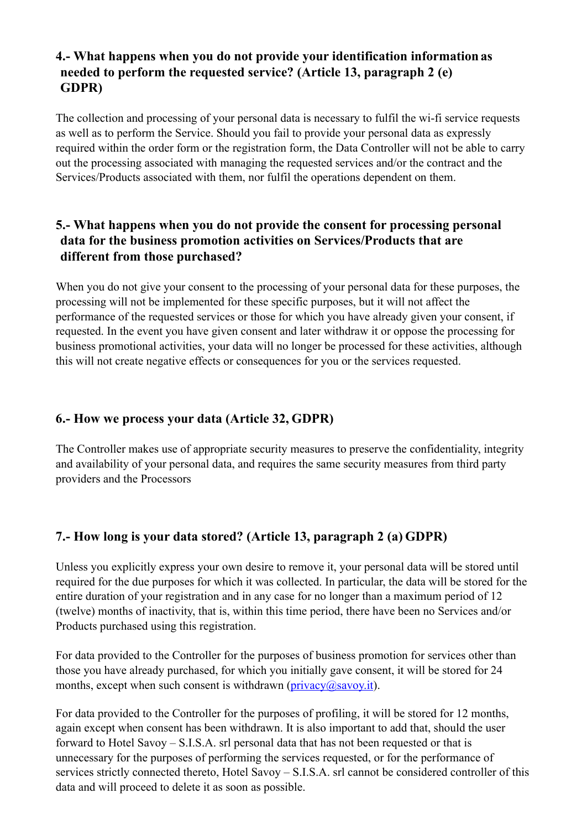# **4.- What happens when you do not provide your identification informationas needed to perform the requested service? (Article 13, paragraph 2 (e) GDPR)**

The collection and processing of your personal data is necessary to fulfil the wi-fi service requests as well as to perform the Service. Should you fail to provide your personal data as expressly required within the order form or the registration form, the Data Controller will not be able to carry out the processing associated with managing the requested services and/or the contract and the Services/Products associated with them, nor fulfil the operations dependent on them.

# **5.- What happens when you do not provide the consent for processing personal data for the business promotion activities on Services/Products that are different from those purchased?**

When you do not give your consent to the processing of your personal data for these purposes, the processing will not be implemented for these specific purposes, but it will not affect the performance of the requested services or those for which you have already given your consent, if requested. In the event you have given consent and later withdraw it or oppose the processing for business promotional activities, your data will no longer be processed for these activities, although this will not create negative effects or consequences for you or the services requested.

# **6.- How we process your data (Article 32, GDPR)**

The Controller makes use of appropriate security measures to preserve the confidentiality, integrity and availability of your personal data, and requires the same security measures from third party providers and the Processors

# **7.- How long is your data stored? (Article 13, paragraph 2 (a) GDPR)**

Unless you explicitly express your own desire to remove it, your personal data will be stored until required for the due purposes for which it was collected. In particular, the data will be stored for the entire duration of your registration and in any case for no longer than a maximum period of 12 (twelve) months of inactivity, that is, within this time period, there have been no Services and/or Products purchased using this registration.

For data provided to the Controller for the purposes of business promotion for services other than those you have already purchased, for which you initially gave consent, it will be stored for 24 months, except when such consent is withdrawn ( $\frac{\text{privacy}}{\text{m}}$ ).

For data provided to the Controller for the purposes of profiling, it will be stored for 12 months, again except when consent has been withdrawn. It is also important to add that, should the user forward to Hotel Savoy – S.I.S.A. srl personal data that has not been requested or that is unnecessary for the purposes of performing the services requested, or for the performance of services strictly connected thereto, Hotel Savoy – S.I.S.A. srl cannot be considered controller of this data and will proceed to delete it as soon as possible.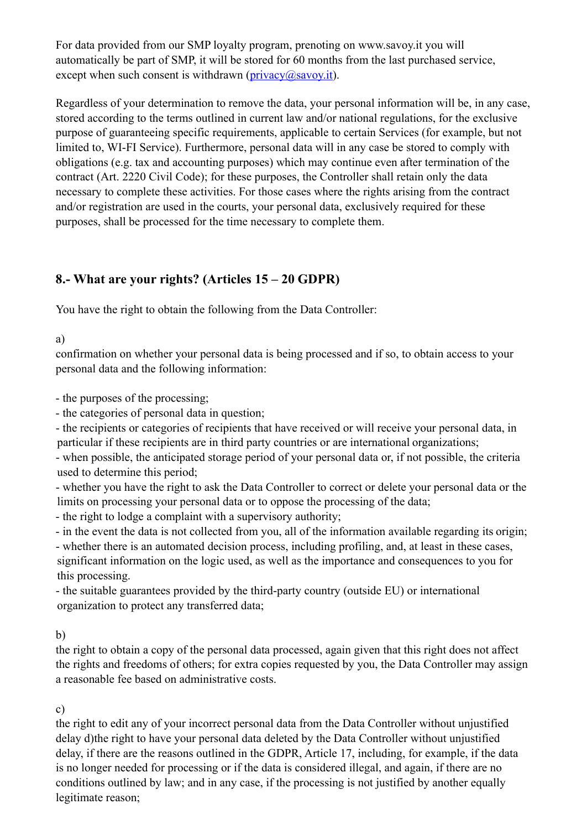For data provided from our SMP loyalty program, prenoting on [www.savoy.it y](http://www.savoy.it/)ou will automatically be part of SMP, it will be stored for 60 months from the last purchased service, except when such consent is withdrawn ( $\frac{\text{privacy}(a\text{)}\text{savoy}}{\text{div}(a\text{)}}$ ).

Regardless of your determination to remove the data, your personal information will be, in any case, stored according to the terms outlined in current law and/or national regulations, for the exclusive purpose of guaranteeing specific requirements, applicable to certain Services (for example, but not limited to, WI-FI Service). Furthermore, personal data will in any case be stored to comply with obligations (e.g. tax and accounting purposes) which may continue even after termination of the contract (Art. 2220 Civil Code); for these purposes, the Controller shall retain only the data necessary to complete these activities. For those cases where the rights arising from the contract and/or registration are used in the courts, your personal data, exclusively required for these purposes, shall be processed for the time necessary to complete them.

# **8.- What are your rights? (Articles 15 – 20 GDPR)**

You have the right to obtain the following from the Data Controller:

## a)

confirmation on whether your personal data is being processed and if so, to obtain access to your personal data and the following information:

- the purposes of the processing;

- the categories of personal data in question;

- the recipients or categories of recipients that have received or will receive your personal data, in particular if these recipients are in third party countries or are international organizations;

- when possible, the anticipated storage period of your personal data or, if not possible, the criteria used to determine this period;

- whether you have the right to ask the Data Controller to correct or delete your personal data or the limits on processing your personal data or to oppose the processing of the data;

- the right to lodge a complaint with a supervisory authority;

- in the event the data is not collected from you, all of the information available regarding its origin;

- whether there is an automated decision process, including profiling, and, at least in these cases, significant information on the logic used, as well as the importance and consequences to you for this processing.

- the suitable guarantees provided by the third-party country (outside EU) or international organization to protect any transferred data;

## b)

the right to obtain a copy of the personal data processed, again given that this right does not affect the rights and freedoms of others; for extra copies requested by you, the Data Controller may assign a reasonable fee based on administrative costs.

# c)

the right to edit any of your incorrect personal data from the Data Controller without unjustified delay d)the right to have your personal data deleted by the Data Controller without unjustified delay, if there are the reasons outlined in the GDPR, Article 17, including, for example, if the data is no longer needed for processing or if the data is considered illegal, and again, if there are no conditions outlined by law; and in any case, if the processing is not justified by another equally legitimate reason;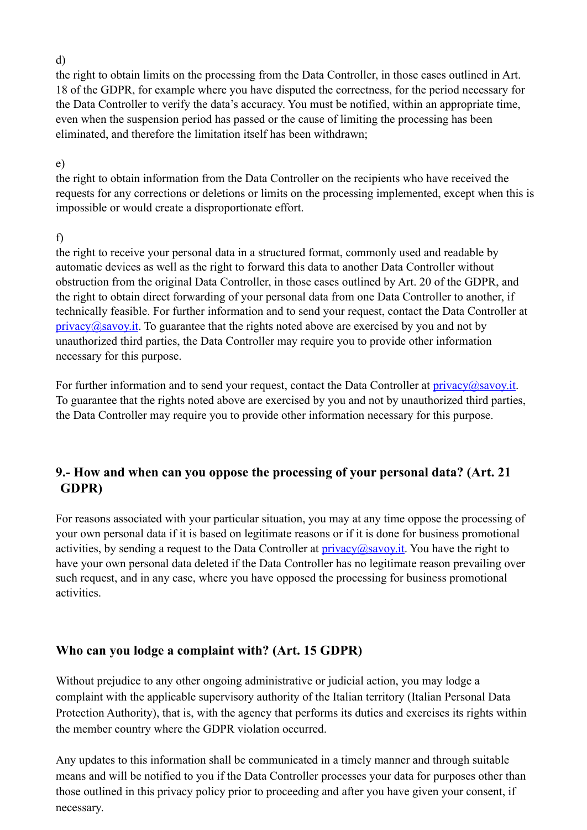d)

the right to obtain limits on the processing from the Data Controller, in those cases outlined in Art. 18 of the GDPR, for example where you have disputed the correctness, for the period necessary for the Data Controller to verify the data's accuracy. You must be notified, within an appropriate time, even when the suspension period has passed or the cause of limiting the processing has been eliminated, and therefore the limitation itself has been withdrawn;

## e)

the right to obtain information from the Data Controller on the recipients who have received the requests for any corrections or deletions or limits on the processing implemented, except when this is impossible or would create a disproportionate effort.

# f)

the right to receive your personal data in a structured format, commonly used and readable by automatic devices as well as the right to forward this data to another Data Controller without obstruction from the original Data Controller, in those cases outlined by Art. 20 of the GDPR, and the right to obtain direct forwarding of your personal data from one Data Controller to another, if technically feasible. For further information and to send your request, contact the Data Controller at  $\frac{\text{privacy}(a\text{)}\text{savoy}.\text{it}}{1}$ . To guarantee that the rights noted above are exercised by you and not by unauthorized third parties, the Data Controller may require you to provide other information necessary for this purpose.

For further information and to send your request, contact the Data Controller at  $\frac{\text{privacy}(a\text{)}\text{savoy}.\text{it}}{a}$ . To guarantee that the rights noted above are exercised by you and not by unauthorized third parties, the Data Controller may require you to provide other information necessary for this purpose.

# **9.- How and when can you oppose the processing of your personal data? (Art. 21 GDPR)**

For reasons associated with your particular situation, you may at any time oppose the processing of your own personal data if it is based on legitimate reasons or if it is done for business promotional activities, by sending a request to the Data Controller at  $\frac{divacv}{\partial savov}$ , You have the right to have your own personal data deleted if the Data Controller has no legitimate reason prevailing over such request, and in any case, where you have opposed the processing for business promotional activities.

# **Who can you lodge a complaint with? (Art. 15 GDPR)**

Without prejudice to any other ongoing administrative or judicial action, you may lodge a complaint with the applicable supervisory authority of the Italian territory (Italian Personal Data Protection Authority), that is, with the agency that performs its duties and exercises its rights within the member country where the GDPR violation occurred.

Any updates to this information shall be communicated in a timely manner and through suitable means and will be notified to you if the Data Controller processes your data for purposes other than those outlined in this privacy policy prior to proceeding and after you have given your consent, if necessary.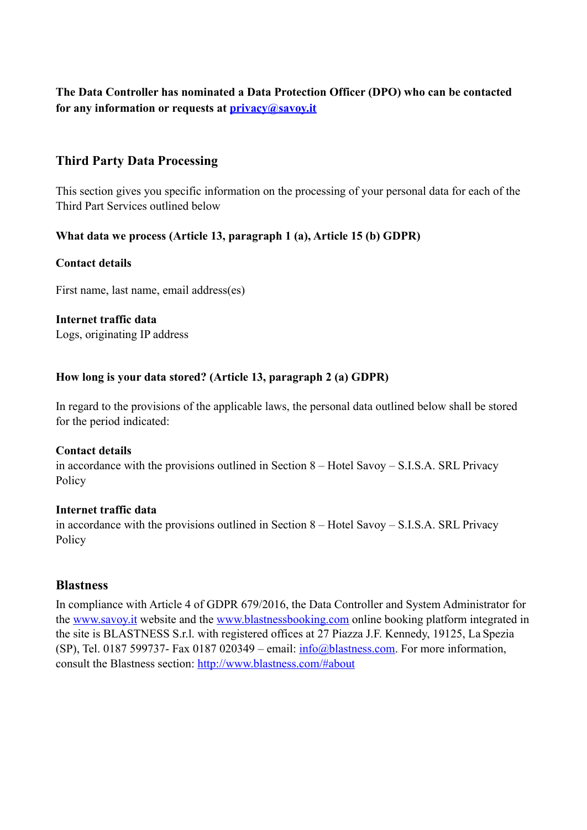## **The Data Controller has nominated a Data Protection Officer (DPO) who can be contacted for any information or requests at [privacy@savoy.it](mailto:privacy@savoy.it)**

# **Third Party Data Processing**

This section gives you specific information on the processing of your personal data for each of the Third Part Services outlined below

## **What data we process (Article 13, paragraph 1 (a), Article 15 (b) GDPR)**

### **Contact details**

First name, last name, email address(es)

## **Internet traffic data**

Logs, originating IP address

### **How long is your data stored? (Article 13, paragraph 2 (a) GDPR)**

In regard to the provisions of the applicable laws, the personal data outlined below shall be stored for the period indicated:

#### **Contact details**

in accordance with the provisions outlined in Section 8 – Hotel Savoy – S.I.S.A. SRL Privacy Policy

### **Internet traffic data**

in accordance with the provisions outlined in Section 8 – Hotel Savoy – S.I.S.A. SRL Privacy Policy

### **Blastness**

In compliance with Article 4 of GDPR 679/2016, the Data Controller and System Administrator for the [www.savoy.it](http://cms.blastness.com/www.savoy.it) website and the [www.blastnessbooking.com](http://cms.blastness.com/www.blastnessbooking.com) online booking platform integrated in the site is BLASTNESS S.r.l. with registered offices at 27 Piazza J.F. Kennedy, 19125, La Spezia (SP), Tel. 0187 599737- Fax 0187 020349 – email:  $info@blastness.com$ . For more information, consult the Blastness section: [http://www.blastness.com/#about](http://www.blastness.com/%23about)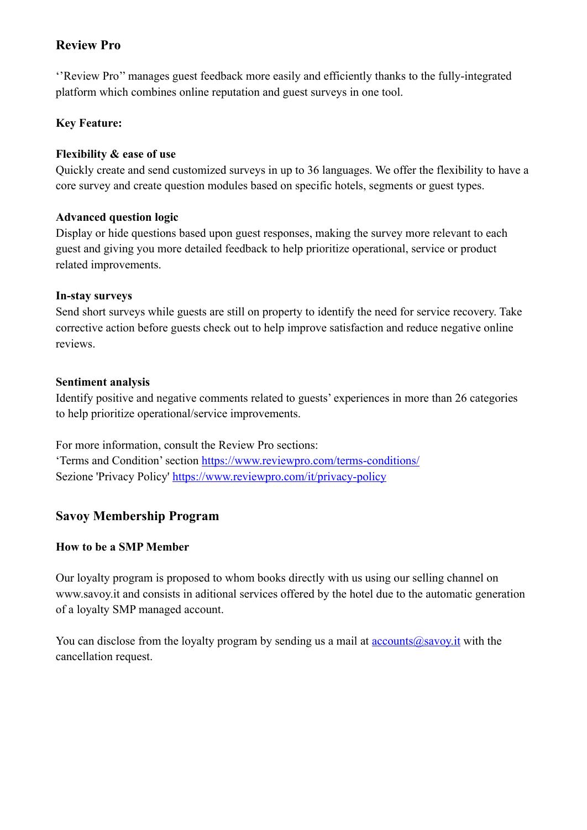# **Review Pro**

''Review Pro'' manages guest feedback more easily and efficiently thanks to the fully-integrated platform which combines online reputation and guest surveys in one tool.

# **Key Feature:**

## **Flexibility & ease of use**

Quickly create and send customized surveys in up to 36 languages. We offer the flexibility to have a core survey and create question modules based on specific hotels, segments or guest types.

## **Advanced question logic**

Display or hide questions based upon guest responses, making the survey more relevant to each guest and giving you more detailed feedback to help prioritize operational, service or product related improvements.

## **In-stay surveys**

Send short surveys while guests are still on property to identify the need for service recovery. Take corrective action before guests check out to help improve satisfaction and reduce negative online reviews.

## **Sentiment analysis**

Identify positive and negative comments related to guests' experiences in more than 26 categories to help prioritize operational/service improvements.

For more information, consult the Review Pro sections: 'Terms and Condition' section <https://www.reviewpro.com/terms-conditions/> Sezione 'Privacy Policy'<https://www.reviewpro.com/it/privacy-policy>

# **Savoy Membership Program**

## **How to be a SMP Member**

Our loyalty program is proposed to whom books directly with us using our selling channel on [www.savoy.it a](http://www.savoy.it/)nd consists in aditional services offered by the hotel due to the automatic generation of a loyalty SMP managed account.

You can disclose from the loyalty program by sending us a mail at  $\alpha$ counts $\alpha$ savoy.it with the cancellation request.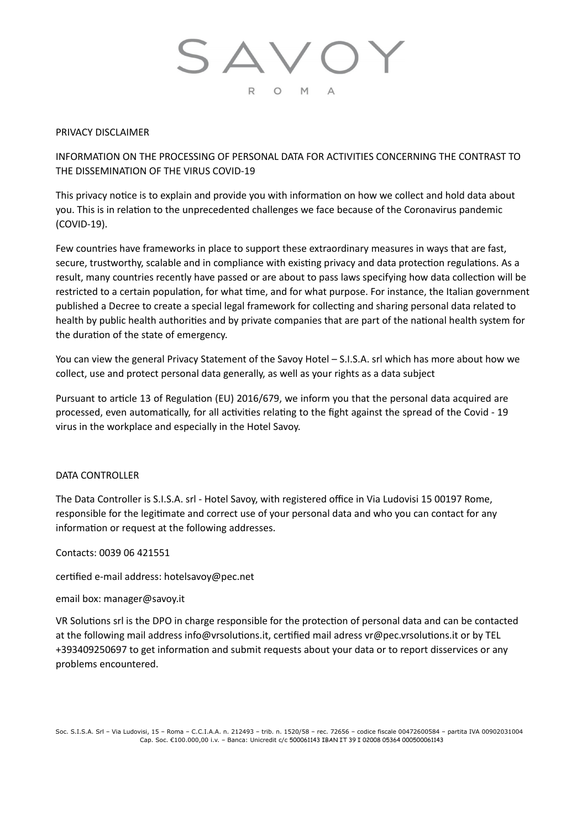#### PRIVACY DISCLAIMER

INFORMATION ON THE PROCESSING OF PERSONAL DATA FOR ACTIVITIES CONCERNING THE CONTRAST TO THE DISSEMINATION OF THE VIRUS COVID-19

This privacy notice is to explain and provide you with information on how we collect and hold data about you. This is in relation to the unprecedented challenges we face because of the Coronavirus pandemic (COVID-19).

Few countries have frameworks in place to support these extraordinary measures in ways that are fast, secure, trustworthy, scalable and in compliance with existing privacy and data protection regulations. As a result, many countries recently have passed or are about to pass laws specifying how data collection will be restricted to a certain population, for what time, and for what purpose. For instance, the Italian government published a Decree to create a special legal framework for collecting and sharing personal data related to health by public health authorities and by private companies that are part of the national health system for the duration of the state of emergency.

You can view the general Privacy Statement of the Savoy Hotel – S.I.S.A. srl which has more about how we collect, use and protect personal data generally, as well as your rights as a data subject

Pursuant to article 13 of Regulation (EU) 2016/679, we inform you that the personal data acquired are processed, even automatically, for all activities relating to the fight against the spread of the Covid - 19 virus in the workplace and especially in the Hotel Savoy.

#### DATA CONTROLLER

The Data Controller is S.I.S.A. srl - Hotel Savoy, with registered office in Via Ludovisi 15 00197 Rome, responsible for the legitimate and correct use of your personal data and who you can contact for any information or request at the following addresses.

Contacts: 0039 06 421551

certified e-mail address: [hotelsavoy@pec.net](mailto:hotelsavoy@pec.net)

email box: [manager@savoy.it](mailto:manager@savoy.it) 

VR Solutions srl is the DPO in charge responsible for the protection of personal data and can be contacted at the following mail address info@vrsolutions.it, certified mail adress vr@pec.vrsolutions.it or by TEL +393409250697 to get information and submit requests about your data or to report disservices or any problems encountered.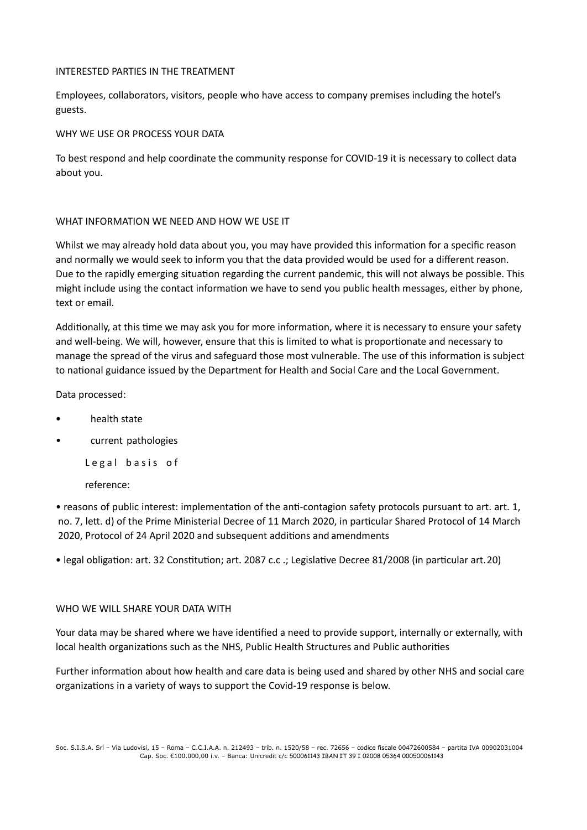#### INTERESTED PARTIES IN THE TREATMENT

Employees, collaborators, visitors, people who have access to company premises including the hotel's guests.

WHY WE USE OR PROCESS YOUR DATA

To best respond and help coordinate the community response for COVID-19 it is necessary to collect data about you.

#### WHAT INFORMATION WE NEED AND HOW WE USE IT

Whilst we may already hold data about you, you may have provided this information for a specific reason and normally we would seek to inform you that the data provided would be used for a different reason. Due to the rapidly emerging situation regarding the current pandemic, this will not always be possible. This might include using the contact information we have to send you public health messages, either by phone, text or email.

Additionally, at this time we may ask you for more information, where it is necessary to ensure your safety and well-being. We will, however, ensure that this is limited to what is proportionate and necessary to manage the spread of the virus and safeguard those most vulnerable. The use of this information is subject to national guidance issued by the Department for Health and Social Care and the Local Government.

Data processed:

- health state
- current pathologies

Legal basis of

reference:

• reasons of public interest: implementation of the anti-contagion safety protocols pursuant to art. art. 1, no. 7, lett. d) of the Prime Ministerial Decree of 11 March 2020, in particular Shared Protocol of 14 March 2020, Protocol of 24 April 2020 and subsequent additions and amendments

• legal obligation: art. 32 Constitution; art. 2087 c.c .; Legislative Decree 81/2008 (in particular art. 20)

#### WHO WE WILL SHARE YOUR DATA WITH

Your data may be shared where we have identified a need to provide support, internally or externally, with local health organizations such as the NHS, Public Health Structures and Public authorities

Further information about how health and care data is being used and shared by other NHS and social care organizations in a variety of ways to support the Covid-19 response is below.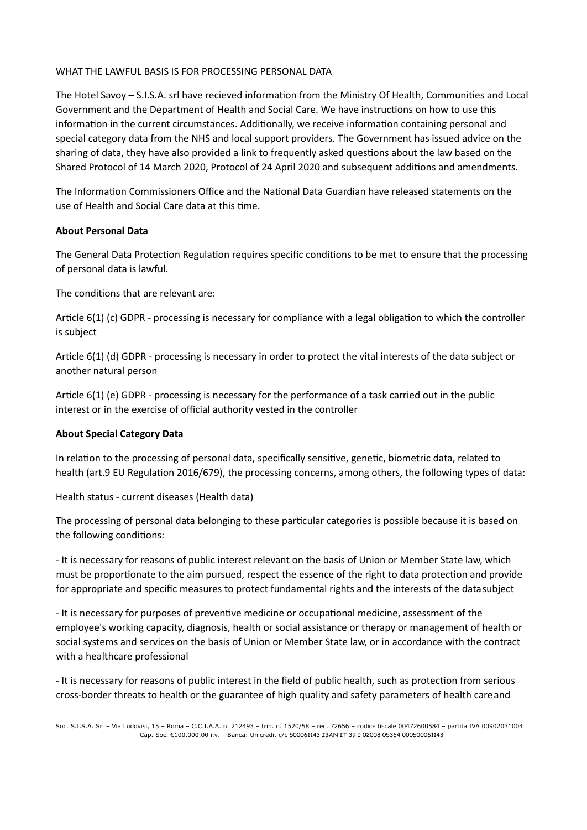#### WHAT THE LAWFUL BASIS IS FOR PROCESSING PERSONAL DATA

The Hotel Savoy – S.I.S.A. srl have recieved information from the Ministry Of Health, Communities and Local Government and the Department of Health and Social Care. We have instructions on how to use this information in the current circumstances. Additionally, we receive information containing personal and special category data from the NHS and local support providers. The Government has issued advice on the sharing of data, they have also provided a link to frequently asked questions about the law based on the Shared Protocol of 14 March 2020, Protocol of 24 April 2020 and subsequent additions and amendments.

The Information Commissioners Office and the National Data Guardian have released statements on the use of Health and Social Care data at this time.

#### **About Personal Data**

The General Data Protection Regulation requires specific conditions to be met to ensure that the processing of personal data is lawful.

The conditions that are relevant are:

Article 6(1) (c) GDPR - processing is necessary for compliance with a legal obligation to which the controller is subject

Article 6(1) (d) GDPR - processing is necessary in order to protect the vital interests of the data subject or another natural person

Article  $6(1)$  (e) GDPR - processing is necessary for the performance of a task carried out in the public interest or in the exercise of official authority vested in the controller

#### **About Special Category Data**

In relation to the processing of personal data, specifically sensitive, genetic, biometric data, related to health (art.9 EU Regulation 2016/679), the processing concerns, among others, the following types of data:

Health status - current diseases (Health data)

The processing of personal data belonging to these particular categories is possible because it is based on the following conditions:

- It is necessary for reasons of public interest relevant on the basis of Union or Member State law, which must be proportionate to the aim pursued, respect the essence of the right to data protection and provide for appropriate and specific measures to protect fundamental rights and the interests of the datasubject

- It is necessary for purposes of preventive medicine or occupational medicine, assessment of the employee's working capacity, diagnosis, health or social assistance or therapy or management of health or social systems and services on the basis of Union or Member State law, or in accordance with the contract with a healthcare professional

- It is necessary for reasons of public interest in the field of public health, such as protection from serious cross-border threats to health or the guarantee of high quality and safety parameters of health careand

Soc. S.I.S.A. Srl – Via Ludovisi, 15 – Roma – C.C.I.A.A. n. 212493 – trib. n. 1520/58 – rec. 72656 – codice fiscale 00472600584 – partita IVA 00902031004 Cap. Soc. €100.000,00 i.v. – Banca: Unicredit c/c 500061143 IBAN IT 39 I 02008 05364 000500061143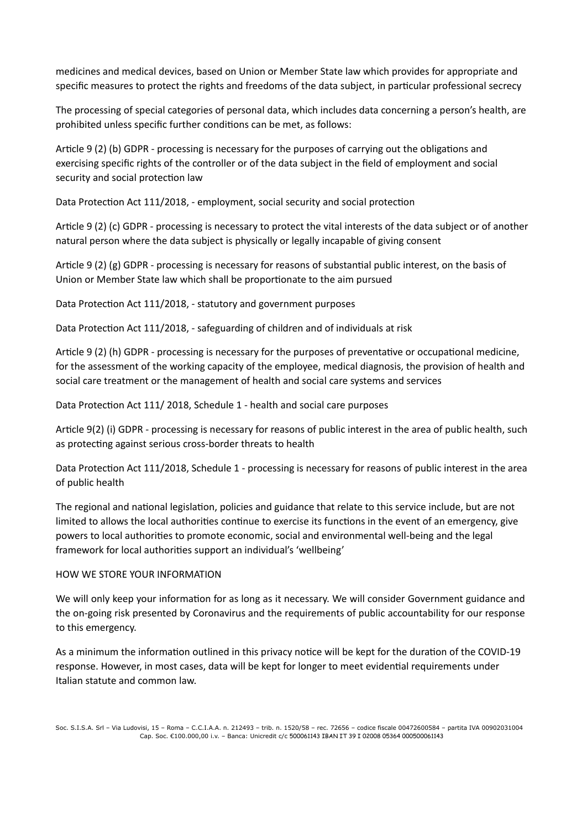medicines and medical devices, based on Union or Member State law which provides for appropriate and specific measures to protect the rights and freedoms of the data subject, in particular professional secrecy

The processing of special categories of personal data, which includes data concerning a person's health, are prohibited unless specific further conditions can be met, as follows:

Article 9 (2) (b) GDPR - processing is necessary for the purposes of carrying out the obligations and exercising specific rights of the controller or of the data subject in the field of employment and social security and social protection law

Data Protection Act 111/2018, - employment, social security and social protection

Article 9 (2) (c) GDPR - processing is necessary to protect the vital interests of the data subject or of another natural person where the data subject is physically or legally incapable of giving consent

Article 9 (2) (g) GDPR - processing is necessary for reasons of substantial public interest, on the basis of Union or Member State law which shall be proportionate to the aim pursued

Data Protection Act 111/2018, - statutory and government purposes

Data Protection Act 111/2018, - safeguarding of children and of individuals at risk

Article 9 (2) (h) GDPR - processing is necessary for the purposes of preventative or occupational medicine, for the assessment of the working capacity of the employee, medical diagnosis, the provision of health and social care treatment or the management of health and social care systems and services

Data Protection Act 111/ 2018, Schedule 1 - health and social care purposes

Article 9(2) (i) GDPR - processing is necessary for reasons of public interest in the area of public health, such as protecting against serious cross-border threats to health

Data Protection Act 111/2018, Schedule 1 - processing is necessary for reasons of public interest in the area of public health

The regional and national legislation, policies and guidance that relate to this service include, but are not limited to allows the local authorities continue to exercise its functions in the event of an emergency, give powers to local authorities to promote economic, social and environmental well-being and the legal framework for local authorities support an individual's 'wellbeing'

#### HOW WE STORE YOUR INFORMATION

We will only keep your information for as long as it necessary. We will consider Government guidance and the on-going risk presented by Coronavirus and the requirements of public accountability for our response to this emergency.

As a minimum the information outlined in this privacy notice will be kept for the duration of the COVID-19 response. However, in most cases, data will be kept for longer to meet evidential requirements under Italian statute and common law.